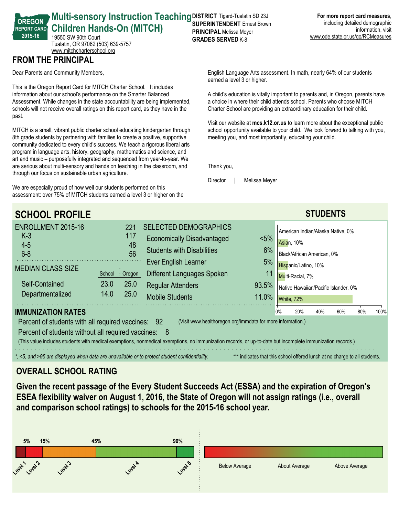#### **REPORT CARD Multi-sensory Instruction Teaching DISTRICT Tigard-Tualatin SD 23J Children Hands-On (MITCH)** 19550 SW 90th Court **PRINCIPAL** Melissa Meyer

Tualatin, OR 97062 (503) 639-5757 <www.mitchcharterschool.org>

## **FROM THE PRINCIPAL**

**OREGON**

**201516**

Dear Parents and Community Members,

This is the Oregon Report Card for MITCH Charter School. It includes information about our school's performance on the Smarter Balanced Assessment. While changes in the state accountability are being implemented, schools will not receive overall ratings on this report card, as they have in the past.

MITCH is a small, vibrant public charter school educating kindergarten through 8th grade students by partnering with families to create a positive, supportive community dedicated to every child's success. We teach a rigorous liberal arts program in language arts, history, geography, mathematics and science, and art and music – purposefully integrated and sequenced from year-to-year. We are serious about multi-sensory and hands on teaching in the classroom, and through our focus on sustainable urban agriculture.

We are especially proud of how well our students performed on this assessment: over 75% of MITCH students earned a level 3 or higher on the

# **SUPERINTENDENT** Ernest Brown **GRADES SERVED K-8**

English Language Arts assessment. In math, nearly 64% of our students earned a level 3 or higher.

A child's education is vitally important to parents and, in Oregon, parents have a choice in where their child attends school. Parents who choose MITCH Charter School are providing an extraordinary education for their child.

Visit our website at **mcs.k12.or.us** to learn more about the exceptional public school opportunity available to your child. We look forward to talking with you, meeting you, and most importantly, educating your child.

Thank you,

Director | Melissa Meyer

| <b>SCHOOL PROFILE</b>                                                                                                                                                                                                                                                                                                                                                                                                                                                                                                                                                                        |                |                                                        |                                                                                                                                                                                          |                                    |                                                                                                                                                                   |  | <b>STUDENTS</b> |  |  |  |
|----------------------------------------------------------------------------------------------------------------------------------------------------------------------------------------------------------------------------------------------------------------------------------------------------------------------------------------------------------------------------------------------------------------------------------------------------------------------------------------------------------------------------------------------------------------------------------------------|----------------|--------------------------------------------------------|------------------------------------------------------------------------------------------------------------------------------------------------------------------------------------------|------------------------------------|-------------------------------------------------------------------------------------------------------------------------------------------------------------------|--|-----------------|--|--|--|
| ENROLLMENT 2015-16<br>$K-3$<br>$4 - 5$<br>$6 - 8$<br><b>MEDIAN CLASS SIZE</b><br>Self-Contained                                                                                                                                                                                                                                                                                                                                                                                                                                                                                              | School<br>23.0 | 221<br>117<br>48<br>56<br>$\frac{1}{2}$ Oregon<br>25.0 | <b>SELECTED DEMOGRAPHICS</b><br><b>Economically Disadvantaged</b><br><b>Students with Disabilities</b><br>Ever English Learner<br>Different Languages Spoken<br><b>Regular Attenders</b> | $< 5\%$<br>6%<br>5%<br>11<br>93.5% | American Indian/Alaska Native, 0%<br>Asian, 10%<br>Black/African American, 0%<br>Hispanic/Latino, 10%<br>Multi-Racial, 7%<br>Native Hawaiian/Pacific Islander, 0% |  |                 |  |  |  |
| Departmentalized                                                                                                                                                                                                                                                                                                                                                                                                                                                                                                                                                                             | 14.0           | 25.0                                                   | <b>Mobile Students</b>                                                                                                                                                                   | White, 72%                         |                                                                                                                                                                   |  |                 |  |  |  |
| <b>IMMUNIZATION RATES</b><br>40%<br>60%<br>80%<br>20%<br>100%<br>0%<br>(Visit www.healthoregon.org/immdata for more information.)<br>Percent of students with all required vaccines: 92<br>Percent of students without all required vaccines: 8<br>(This value includes students with medical exemptions, nonmedical exemptions, no immunization records, or up-to-date but incomplete immunization records.)<br>*, <5, and >95 are displayed when data are unavailable or to protect student confidentiality.<br>*** indicates that this school offered lunch at no charge to all students. |                |                                                        |                                                                                                                                                                                          |                                    |                                                                                                                                                                   |  |                 |  |  |  |

### **OVERALL SCHOOL RATING**

**Given the recent passage of the Every Student Succeeds Act (ESSA) and the expiration of Oregon's ESEA flexibility waiver on August 1, 2016, the State of Oregon will not assign ratings (i.e., overall and comparison school ratings) to schools for the 201516 school year.**

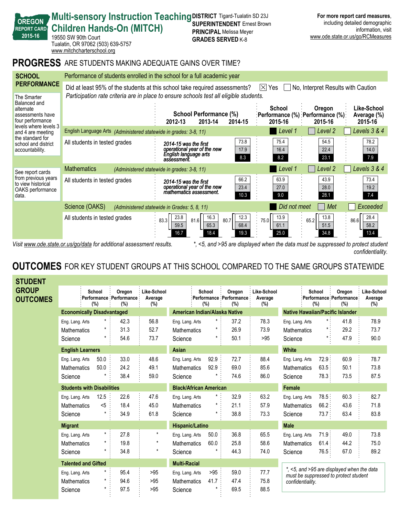| 2015-16                                                                                                                                                                       | 19550 SW 90th Court<br>Tualatin, OR 97062 (503) 639-5757<br>www.mitchcharterschool.org                                                                                                                                       | ייט נישטיישיים בא וועדווורו<br><b>GRADES SERVED K-8</b>                                                             |                                                                              | www.ode.state.or.us/go/RCMeasures     |  |  |  |  |  |  |
|-------------------------------------------------------------------------------------------------------------------------------------------------------------------------------|------------------------------------------------------------------------------------------------------------------------------------------------------------------------------------------------------------------------------|---------------------------------------------------------------------------------------------------------------------|------------------------------------------------------------------------------|---------------------------------------|--|--|--|--|--|--|
|                                                                                                                                                                               | <b>PROGRESS</b> ARE STUDENTS MAKING ADEQUATE GAINS OVER TIME?                                                                                                                                                                |                                                                                                                     |                                                                              |                                       |  |  |  |  |  |  |
| <b>SCHOOL</b>                                                                                                                                                                 | Performance of students enrolled in the school for a full academic year                                                                                                                                                      |                                                                                                                     |                                                                              |                                       |  |  |  |  |  |  |
| <b>PERFORMANCE</b><br>The Smarter                                                                                                                                             | Did at least 95% of the students at this school take required assessments?<br>$ \times $ Yes<br>No, Interpret Results with Caution<br>Participation rate criteria are in place to ensure schools test all eligible students. |                                                                                                                     |                                                                              |                                       |  |  |  |  |  |  |
| Balanced and<br>alternate<br>assessments have<br>four performance<br>levels where levels 3<br>and 4 are meeting<br>the standard for<br>school and district<br>accountability. |                                                                                                                                                                                                                              | School Performance (%)<br>2012-13<br>2013-14<br>2014-15                                                             | School<br>Oregon<br>:Performance (%) :Performance (%):<br>2015-16<br>2015-16 | Like-School<br>Average (%)<br>2015-16 |  |  |  |  |  |  |
|                                                                                                                                                                               | English Language Arts (Administered statewide in grades: 3-8, 11)                                                                                                                                                            |                                                                                                                     | Level 1<br>Level 2                                                           | Levels 3 & 4                          |  |  |  |  |  |  |
|                                                                                                                                                                               | All students in tested grades                                                                                                                                                                                                | 73.8<br>2014-15 was the first<br>operational year of the new<br>17.9<br>English language arts<br>8.3<br>assessment. | 75.4<br>54.5<br>16.4<br>22.4<br>23.1<br>8.2                                  | 78.2<br>14.0<br>7.9                   |  |  |  |  |  |  |
| See report cards<br>from previous years<br>to view historical<br>OAKS performance<br>data.                                                                                    | <b>Mathematics</b>                                                                                                                                                                                                           | (Administered statewide in grades: 3-8, 11)                                                                         | Level <sub>2</sub><br>Level 1                                                | Levels 3 & 4                          |  |  |  |  |  |  |
|                                                                                                                                                                               | All students in tested grades                                                                                                                                                                                                | 66.2<br>2014-15 was the first<br>23.4<br>operational year of the new<br>mathematics assessment.<br>10.3             | 63.9<br>43.9<br>27.0<br>28.0<br>28.1<br>9.0                                  | 73.4<br>19.2<br>74                    |  |  |  |  |  |  |
|                                                                                                                                                                               | Science (OAKS)<br>(Administered statewide in Grades: 5, 8, 11)                                                                                                                                                               | Did not meet<br>Met                                                                                                 | Exceeded                                                                     |                                       |  |  |  |  |  |  |
|                                                                                                                                                                               | All students in tested grades                                                                                                                                                                                                | 16.3<br>12.3<br>23.8<br>83.3<br>81.6<br>80.7<br>59.5<br>65.3<br>68.4<br>16.7<br>18.4<br>19.3                        | 13.9<br>13.8<br>75.0<br>65.2<br>61.1<br>51.5<br>25.0<br>34.8                 | 28.4<br>86.6<br>58.2<br>13.4          |  |  |  |  |  |  |
| <5, and >95 are displayed when the data must be suppressed to protect student<br>Visit www.ode.state.or.us/go/data for additional assessment results.                         |                                                                                                                                                                                                                              |                                                                                                                     |                                                                              |                                       |  |  |  |  |  |  |

**SUPERINTENDENT** Ernest Brown **PRINCIPAL** Melissa Meyer

**For more report card measures**, including detailed demographic

information, visit

*confidentiality.*

**Multi-sensory Instruction Teaching DISTRICT Tigard-Tualatin SD 23J** 

**OREGON**

REPORT CARD<sup>7</sup> Children Hands-On (MITCH)

# **OUTCOMES** FOR KEY STUDENT GROUPS AT THIS SCHOOL COMPARED TO THE SAME GROUPS STATEWIDE

| <b>STUDENT</b>                  |                                                  |                                |                                          |                               |                                                  |                           |                                          |                                         |                                                                                                         |                         |                                          |                                  |  |
|---------------------------------|--------------------------------------------------|--------------------------------|------------------------------------------|-------------------------------|--------------------------------------------------|---------------------------|------------------------------------------|-----------------------------------------|---------------------------------------------------------------------------------------------------------|-------------------------|------------------------------------------|----------------------------------|--|
| <b>GROUP</b><br><b>OUTCOMES</b> |                                                  | School<br>$(\%)$               | Oregon<br>Performance Performance<br>(%) | Like-School<br>Average<br>(%) |                                                  | School<br>$(\%)$          | Oregon<br>Performance Performance<br>(%) | Like-School<br>Average<br>(%)           |                                                                                                         | School<br>(%)           | Oregon<br>Performance Performance<br>(%) | Like-School<br>Average<br>$(\%)$ |  |
|                                 | <b>Economically Disadvantaged</b>                |                                |                                          | American Indian/Alaska Native |                                                  |                           |                                          | <b>Native Hawaiian/Pacific Islander</b> |                                                                                                         |                         |                                          |                                  |  |
|                                 | Eng. Lang. Arts<br><b>Mathematics</b><br>Science | $\star$<br>$\star$<br>$\star$  | 42.3<br>31.3<br>54.6                     | 56.8<br>52.7<br>73.7          | Eng. Lang. Arts<br><b>Mathematics</b><br>Science | $^\star$<br>$^\star$<br>* | 37.2<br>26.9<br>50.1                     | 78.3<br>73.9<br>>95                     | Eng. Lang. Arts<br><b>Mathematics</b><br>Science                                                        | $\star$ .               | 41.8<br>29.2<br>47.9                     | 78.9<br>73.7<br>90.0             |  |
|                                 | <b>English Learners</b>                          |                                |                                          | Asian                         |                                                  |                           | <b>White</b>                             |                                         |                                                                                                         |                         |                                          |                                  |  |
|                                 | Eng. Lang. Arts<br><b>Mathematics</b><br>Science | 50.0<br>50.0                   | 33.0<br>24.2<br>38.4                     | 48.6<br>49.1<br>59.0          | Eng. Lang. Arts<br>Mathematics<br>Science        | 92.9<br>92.9              | 72.7<br>69.0<br>74.6                     | 88.4<br>85.6<br>86.0                    | Eng. Lang. Arts<br><b>Mathematics</b><br>Science                                                        | 72.9:<br>63.5:<br>78.3  | 60.9<br>50.1<br>73.5                     | 78.7<br>73.8<br>87.5             |  |
|                                 | <b>Students with Disabilities</b>                |                                |                                          | <b>Black/African American</b> |                                                  |                           |                                          | Female                                  |                                                                                                         |                         |                                          |                                  |  |
|                                 | Eng. Lang. Arts<br><b>Mathematics</b><br>Science | 12.5<br>< 5                    | 22.6<br>18.4<br>34.9                     | 47.6<br>45.0<br>61.8          | Eng. Lang. Arts<br><b>Mathematics</b><br>Science | *<br>$^\star$             | 32.9<br>21.1<br>38.8                     | 63.2<br>57.9<br>73.3                    | Eng. Lang. Arts<br><b>Mathematics</b><br>Science                                                        | 78.5:<br>66.2:<br>73.7: | 60.3<br>43.6<br>63.4                     | 82.7<br>71.8<br>83.8             |  |
|                                 | <b>Migrant</b>                                   |                                |                                          | <b>Hispanic/Latino</b>        |                                                  |                           | <b>Male</b>                              |                                         |                                                                                                         |                         |                                          |                                  |  |
|                                 | Eng. Lang. Arts<br><b>Mathematics</b><br>Science | $\star$<br>$^\star$            | 27.8<br>19.8<br>34.8                     | $\star$<br>$\star$<br>$\star$ | Eng. Lang. Arts<br><b>Mathematics</b><br>Science | 50.0<br>60.0              | 36.8<br>25.8<br>44.3                     | 65.5<br>58.6<br>74.0                    | Eng. Lang. Arts<br><b>Mathematics</b><br>Science                                                        | 71.9:<br>61.4:<br>76.5: | 49.0<br>44.2<br>67.0                     | 73.8<br>75.0<br>89.2             |  |
|                                 | <b>Talented and Gifted</b>                       |                                |                                          |                               | <b>Multi-Racial</b>                              |                           |                                          |                                         |                                                                                                         |                         |                                          |                                  |  |
|                                 | Eng. Lang. Arts<br><b>Mathematics</b><br>Science | $\star$<br>$^\star$<br>$\star$ | 95.4<br>94.6<br>97.5                     | >95<br>>95<br>>95             | Eng. Lang. Arts<br><b>Mathematics</b><br>Science | >95<br>41.7               | 59.0<br>47.4<br>69.5                     | 77.7<br>75.8<br>88.5                    | *, <5, and >95 are displayed when the data<br>must be suppressed to protect student<br>confidentiality. |                         |                                          |                                  |  |